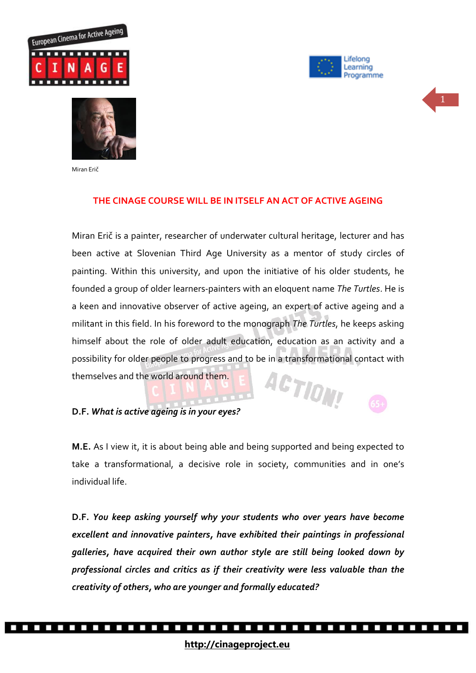







Miran Erič

### **THE CINAGE COURSE WILL BE IN ITSELF AN ACT OF ACTIVE AGEING**

Miran Erič is a painter, researcher of underwater cultural heritage, lecturer and has been active at Slovenian Third Age University as a mentor of study circles of painting. Within this university, and upon the initiative of his older students, he founded a group of older learners-painters with an eloquent name *The Turtles*. He is a keen and innovative observer of active ageing, an expert of active ageing and a militant in this field. In his foreword to the monograph *The Turtles*, he keeps asking himself about the role of older adult education, education as an activity and a possibility for older people to progress and to be in a transformational contact with ACTIONS themselves and the world around them.

#### **D.F.** *What is active ageing is in your eyes?*

**M.E.** As I view it, it is about being able and being supported and being expected to take a transformational, a decisive role in society, communities and in one's individual life.

**D.F.** *You keep asking yourself why your students who over years have become excellent and innovative painters, have exhibited their paintings in professional galleries, have acquired their own author style are still being looked down by professional circles and critics as if their creativity were less valuable than the creativity of others, who are younger and formally educated?* 

.................................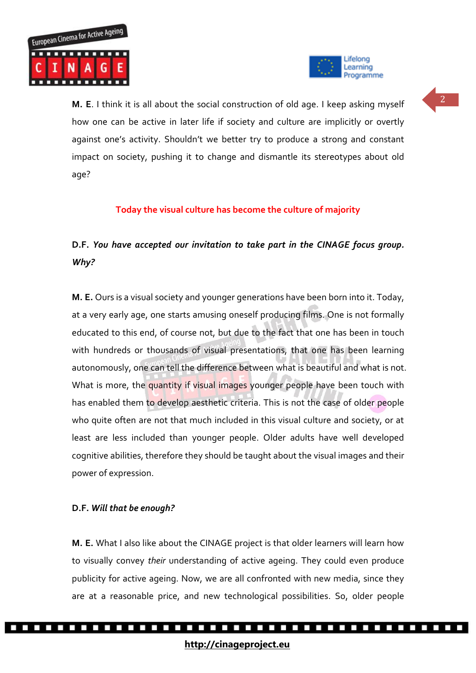



<sup>2</sup> **M. E**. I think it is all about the social construction of old age. I keep asking myself how one can be active in later life if society and culture are implicitly or overtly against one's activity. Shouldn't we better try to produce a strong and constant impact on society, pushing it to change and dismantle its stereotypes about old age?

### **Today the visual culture has become the culture of majority**

# **D.F.** *You have accepted our invitation to take part in the CINAGE focus group. Why?*

**M. E.** Ours is a visual society and younger generations have been born into it. Today, at a very early age, one starts amusing oneself producing films. One is not formally educated to this end, of course not, but due to the fact that one has been in touch with hundreds or thousands of visual presentations, that one has been learning autonomously, one can tell the difference between what is beautiful and what is not. What is more, the quantity if visual images younger people have been touch with has enabled them to develop aesthetic criteria. This is not the case of older people who quite often are not that much included in this visual culture and society, or at least are less included than younger people. Older adults have well developed cognitive abilities, therefore they should be taught about the visual images and their power of expression.

#### **D.F.** *Will that be enough?*

**M. E.** What I also like about the CINAGE project is that older learners will learn how to visually convey *their* understanding of active ageing. They could even produce publicity for active ageing. Now, we are all confronted with new media, since they are at a reasonable price, and new technological possibilities. So, older people

.................................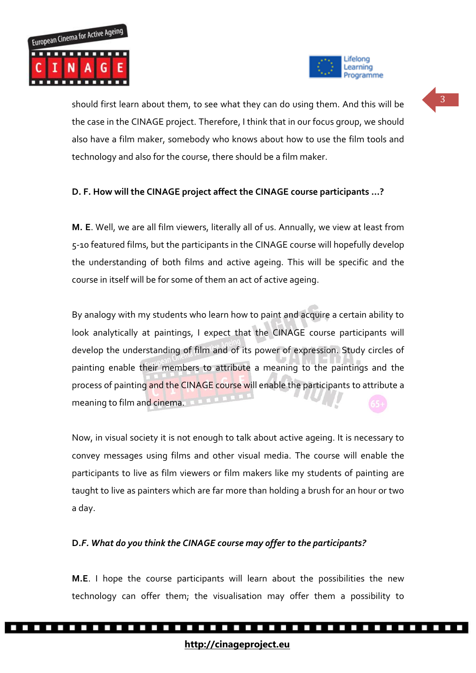



should first learn about them, to see what they can do using them. And this will be the case in the CINAGE project. Therefore, I think that in our focus group, we should also have a film maker, somebody who knows about how to use the film tools and technology and also for the course, there should be a film maker.

## **D. F. How will the CINAGE project affect the CINAGE course participants …?**

**M. E**. Well, we are all film viewers, literally all of us. Annually, we view at least from 5-10 featured films, but the participants in the CINAGE course will hopefully develop the understanding of both films and active ageing. This will be specific and the course in itself will be for some of them an act of active ageing.

By analogy with my students who learn how to paint and acquire a certain ability to look analytically at paintings, I expect that the CINAGE course participants will develop the understanding of film and of its power of expression. Study circles of painting enable their members to attribute a meaning to the paintings and the process of painting and the CINAGE course will enable the participants to attribute a meaning to film and cinema.

Now, in visual society it is not enough to talk about active ageing. It is necessary to convey messages using films and other visual media. The course will enable the participants to live as film viewers or film makers like my students of painting are taught to live as painters which are far more than holding a brush for an hour or two a day.

#### **D.***F. What do you think the CINAGE course may offer to the participants?*

**M.E**. I hope the course participants will learn about the possibilities the new technology can offer them; the visualisation may offer them a possibility to

..............................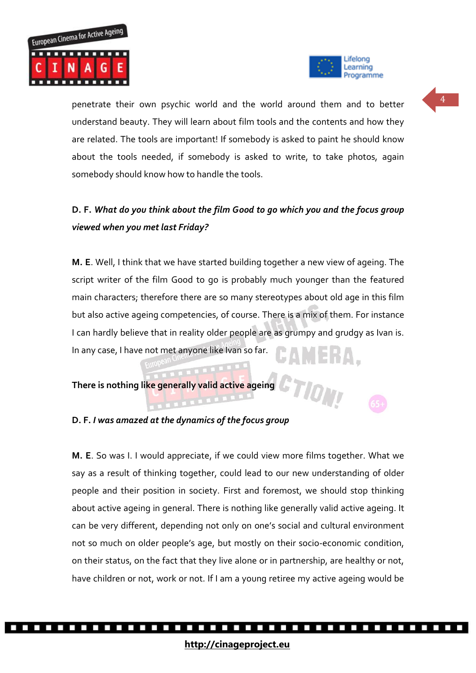



TION

penetrate their own psychic world and the world around them and to better understand beauty. They will learn about film tools and the contents and how they are related. The tools are important! If somebody is asked to paint he should know about the tools needed, if somebody is asked to write, to take photos, again somebody should know how to handle the tools.

# **D. F.** *What do you think about the film Good to go which you and the focus group viewed when you met last Friday?*

**M. E**. Well, I think that we have started building together a new view of ageing. The script writer of the film Good to go is probably much younger than the featured main characters; therefore there are so many stereotypes about old age in this film but also active ageing competencies, of course. There is a mix of them. For instance I can hardly believe that in reality older people are as grumpy and grudgy as Ivan is. EAMERA. In any case, I have not met anyone like Ivan so far.

**There is nothing like generally valid active ageing** 

**D. F.** *I was amazed at the dynamics of the focus group*

**M. E**. So was I. I would appreciate, if we could view more films together. What we say as a result of thinking together, could lead to our new understanding of older people and their position in society. First and foremost, we should stop thinking about active ageing in general. There is nothing like generally valid active ageing. It can be very different, depending not only on one's social and cultural environment not so much on older people's age, but mostly on their socio-economic condition, on their status, on the fact that they live alone or in partnership, are healthy or not, have children or not, work or not. If I am a young retiree my active ageing would be

4

.................................